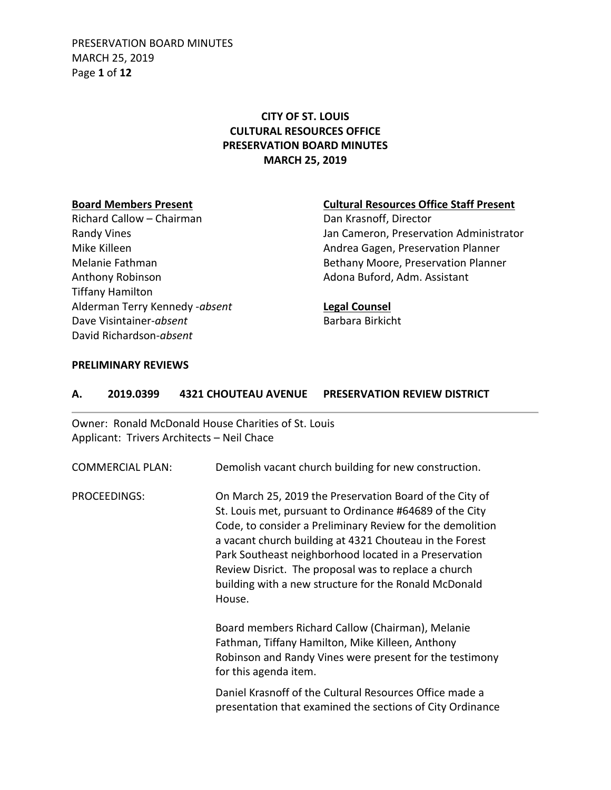PRESERVATION BOARD MINUTES MARCH 25, 2019 Page **1** of **12**

## **CITY OF ST. LOUIS CULTURAL RESOURCES OFFICE PRESERVATION BOARD MINUTES MARCH 25, 2019**

Richard Callow – Chairman Dan Krasnoff, Director Anthony Robinson **Adona Buford, Adm. Assistant** Tiffany Hamilton Alderman Terry Kennedy -*absent* **Legal Counsel** Dave Visintainer-*absent* Barbara Birkicht David Richardson-*absent*

### **Board Members Present Cultural Resources Office Staff Present**

Randy Vines **National Community Community** Jan Cameron, Preservation Administrator Mike Killeen **Andrea Gagen, Preservation Planner** Andrea Gagen, Preservation Planner Melanie Fathman **Bethany Moore, Preservation Planner** Bethany Moore, Preservation Planner

### **PRELIMINARY REVIEWS**

| А. | 2019.0399               | <b>4321 CHOUTEAU AVENUE</b><br><b>PRESERVATION REVIEW DISTRICT</b>                                                                                                                                                                                                                                                                                                                                                             |  |
|----|-------------------------|--------------------------------------------------------------------------------------------------------------------------------------------------------------------------------------------------------------------------------------------------------------------------------------------------------------------------------------------------------------------------------------------------------------------------------|--|
|    |                         | Owner: Ronald McDonald House Charities of St. Louis<br>Applicant: Trivers Architects - Neil Chace                                                                                                                                                                                                                                                                                                                              |  |
|    | <b>COMMERCIAL PLAN:</b> | Demolish vacant church building for new construction.                                                                                                                                                                                                                                                                                                                                                                          |  |
|    | PROCEEDINGS:            | On March 25, 2019 the Preservation Board of the City of<br>St. Louis met, pursuant to Ordinance #64689 of the City<br>Code, to consider a Preliminary Review for the demolition<br>a vacant church building at 4321 Chouteau in the Forest<br>Park Southeast neighborhood located in a Preservation<br>Review Disrict. The proposal was to replace a church<br>building with a new structure for the Ronald McDonald<br>House. |  |
|    |                         | Board members Richard Callow (Chairman), Melanie<br>Fathman, Tiffany Hamilton, Mike Killeen, Anthony<br>Robinson and Randy Vines were present for the testimony<br>for this agenda item.                                                                                                                                                                                                                                       |  |
|    |                         | Daniel Krasnoff of the Cultural Resources Office made a<br>presentation that examined the sections of City Ordinance                                                                                                                                                                                                                                                                                                           |  |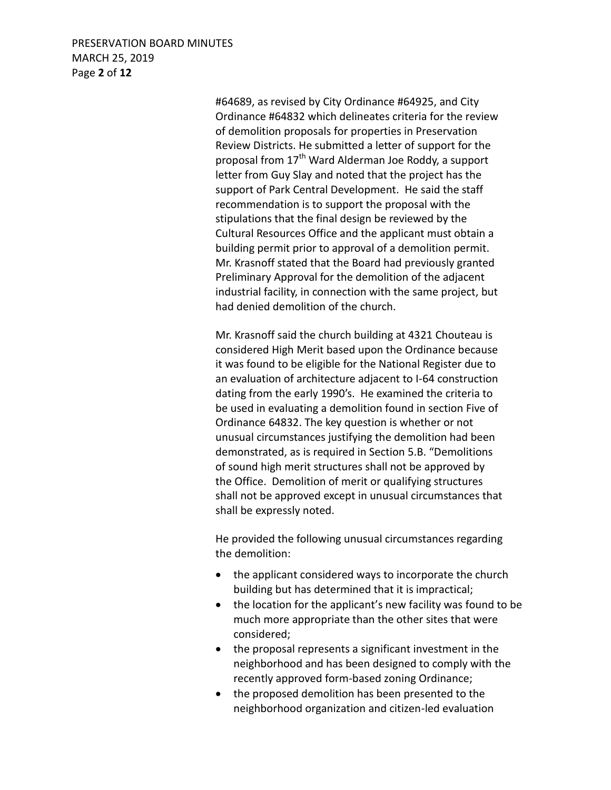## PRESERVATION BOARD MINUTES MARCH 25, 2019 Page **2** of **12**

#64689, as revised by City Ordinance #64925, and City Ordinance #64832 which delineates criteria for the review of demolition proposals for properties in Preservation Review Districts. He submitted a letter of support for the proposal from 17<sup>th</sup> Ward Alderman Joe Roddy, a support letter from Guy Slay and noted that the project has the support of Park Central Development. He said the staff recommendation is to support the proposal with the stipulations that the final design be reviewed by the Cultural Resources Office and the applicant must obtain a building permit prior to approval of a demolition permit. Mr. Krasnoff stated that the Board had previously granted Preliminary Approval for the demolition of the adjacent industrial facility, in connection with the same project, but had denied demolition of the church.

Mr. Krasnoff said the church building at 4321 Chouteau is considered High Merit based upon the Ordinance because it was found to be eligible for the National Register due to an evaluation of architecture adjacent to I-64 construction dating from the early 1990's. He examined the criteria to be used in evaluating a demolition found in section Five of Ordinance 64832. The key question is whether or not unusual circumstances justifying the demolition had been demonstrated, as is required in Section 5.B. "Demolitions of sound high merit structures shall not be approved by the Office. Demolition of merit or qualifying structures shall not be approved except in unusual circumstances that shall be expressly noted.

He provided the following unusual circumstances regarding the demolition:

- the applicant considered ways to incorporate the church building but has determined that it is impractical;
- the location for the applicant's new facility was found to be much more appropriate than the other sites that were considered;
- the proposal represents a significant investment in the neighborhood and has been designed to comply with the recently approved form-based zoning Ordinance;
- the proposed demolition has been presented to the neighborhood organization and citizen-led evaluation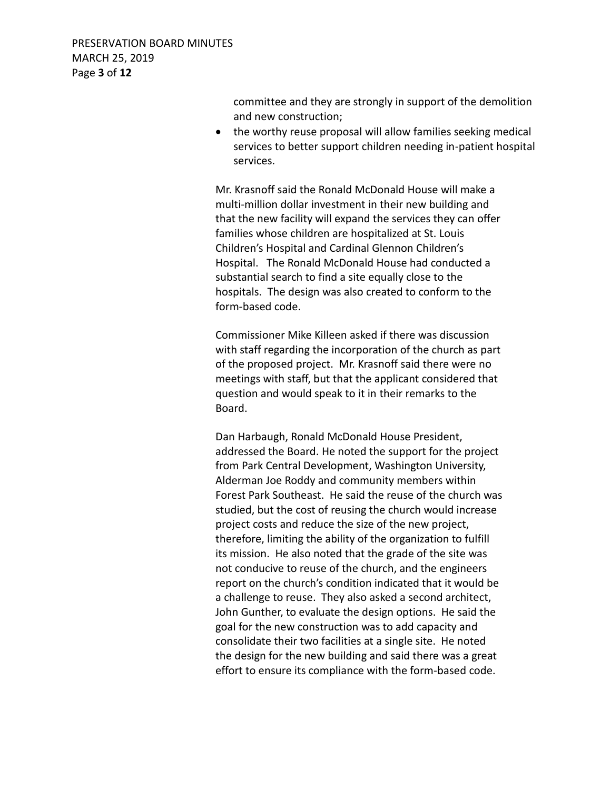committee and they are strongly in support of the demolition and new construction;

 the worthy reuse proposal will allow families seeking medical services to better support children needing in-patient hospital services.

Mr. Krasnoff said the Ronald McDonald House will make a multi-million dollar investment in their new building and that the new facility will expand the services they can offer families whose children are hospitalized at St. Louis Children's Hospital and Cardinal Glennon Children's Hospital. The Ronald McDonald House had conducted a substantial search to find a site equally close to the hospitals. The design was also created to conform to the form-based code.

Commissioner Mike Killeen asked if there was discussion with staff regarding the incorporation of the church as part of the proposed project. Mr. Krasnoff said there were no meetings with staff, but that the applicant considered that question and would speak to it in their remarks to the Board.

Dan Harbaugh, Ronald McDonald House President, addressed the Board. He noted the support for the project from Park Central Development, Washington University, Alderman Joe Roddy and community members within Forest Park Southeast. He said the reuse of the church was studied, but the cost of reusing the church would increase project costs and reduce the size of the new project, therefore, limiting the ability of the organization to fulfill its mission. He also noted that the grade of the site was not conducive to reuse of the church, and the engineers report on the church's condition indicated that it would be a challenge to reuse. They also asked a second architect, John Gunther, to evaluate the design options. He said the goal for the new construction was to add capacity and consolidate their two facilities at a single site. He noted the design for the new building and said there was a great effort to ensure its compliance with the form-based code.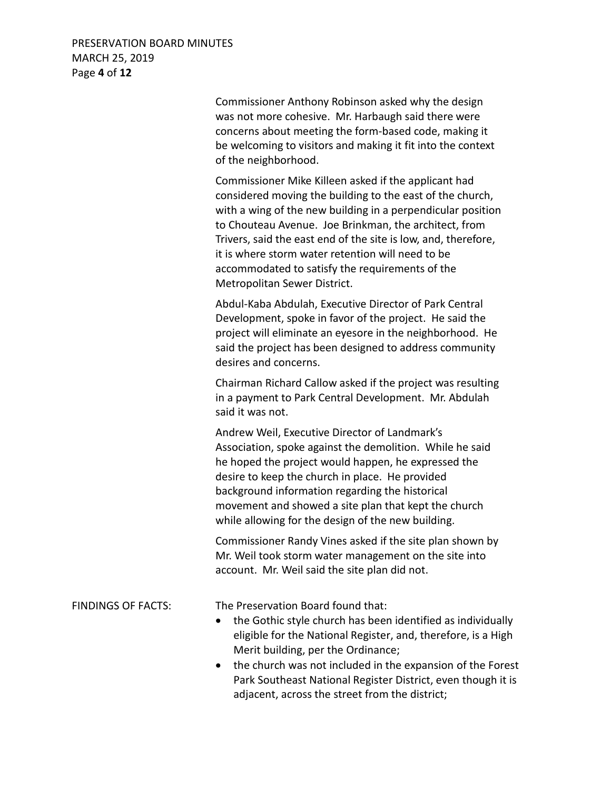## PRESERVATION BOARD MINUTES MARCH 25, 2019 Page **4** of **12**

Commissioner Anthony Robinson asked why the design was not more cohesive. Mr. Harbaugh said there were concerns about meeting the form-based code, making it be welcoming to visitors and making it fit into the context of the neighborhood.

Commissioner Mike Killeen asked if the applicant had considered moving the building to the east of the church, with a wing of the new building in a perpendicular position to Chouteau Avenue. Joe Brinkman, the architect, from Trivers, said the east end of the site is low, and, therefore, it is where storm water retention will need to be accommodated to satisfy the requirements of the Metropolitan Sewer District.

Abdul-Kaba Abdulah, Executive Director of Park Central Development, spoke in favor of the project. He said the project will eliminate an eyesore in the neighborhood. He said the project has been designed to address community desires and concerns.

Chairman Richard Callow asked if the project was resulting in a payment to Park Central Development. Mr. Abdulah said it was not.

Andrew Weil, Executive Director of Landmark's Association, spoke against the demolition. While he said he hoped the project would happen, he expressed the desire to keep the church in place. He provided background information regarding the historical movement and showed a site plan that kept the church while allowing for the design of the new building.

Commissioner Randy Vines asked if the site plan shown by Mr. Weil took storm water management on the site into account. Mr. Weil said the site plan did not.

FINDINGS OF FACTS: The Preservation Board found that:

- the Gothic style church has been identified as individually eligible for the National Register, and, therefore, is a High Merit building, per the Ordinance;
- the church was not included in the expansion of the Forest Park Southeast National Register District, even though it is adjacent, across the street from the district;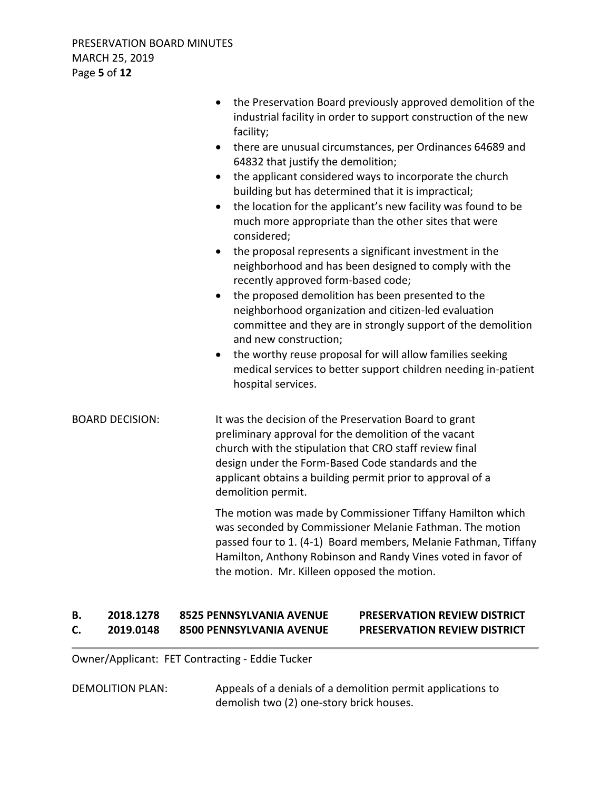|                        | the Preservation Board previously approved demolition of the<br>$\bullet$<br>industrial facility in order to support construction of the new<br>facility;<br>there are unusual circumstances, per Ordinances 64689 and<br>$\bullet$<br>64832 that justify the demolition;<br>the applicant considered ways to incorporate the church<br>$\bullet$<br>building but has determined that it is impractical;<br>the location for the applicant's new facility was found to be<br>$\bullet$<br>much more appropriate than the other sites that were<br>considered;<br>the proposal represents a significant investment in the<br>$\bullet$<br>neighborhood and has been designed to comply with the<br>recently approved form-based code;<br>the proposed demolition has been presented to the<br>$\bullet$<br>neighborhood organization and citizen-led evaluation<br>committee and they are in strongly support of the demolition<br>and new construction;<br>the worthy reuse proposal for will allow families seeking<br>$\bullet$<br>medical services to better support children needing in-patient<br>hospital services. |
|------------------------|---------------------------------------------------------------------------------------------------------------------------------------------------------------------------------------------------------------------------------------------------------------------------------------------------------------------------------------------------------------------------------------------------------------------------------------------------------------------------------------------------------------------------------------------------------------------------------------------------------------------------------------------------------------------------------------------------------------------------------------------------------------------------------------------------------------------------------------------------------------------------------------------------------------------------------------------------------------------------------------------------------------------------------------------------------------------------------------------------------------------------|
| <b>BOARD DECISION:</b> | It was the decision of the Preservation Board to grant<br>preliminary approval for the demolition of the vacant<br>church with the stipulation that CRO staff review final<br>design under the Form-Based Code standards and the<br>applicant obtains a building permit prior to approval of a<br>demolition permit.                                                                                                                                                                                                                                                                                                                                                                                                                                                                                                                                                                                                                                                                                                                                                                                                      |
|                        | The motion was made by Commissioner Tiffany Hamilton which<br>was seconded by Commissioner Melanie Fathman. The motion<br>passed four to 1. (4-1) Board members, Melanie Fathman, Tiffany<br>Hamilton, Anthony Robinson and Randy Vines voted in favor of<br>the motion. Mr. Killeen opposed the motion.                                                                                                                                                                                                                                                                                                                                                                                                                                                                                                                                                                                                                                                                                                                                                                                                                  |

# **B. 2018.1278 8525 PENNSYLVANIA AVENUE PRESERVATION REVIEW DISTRICT C. 2019.0148 8500 PENNSYLVANIA AVENUE PRESERVATION REVIEW DISTRICT**

Owner/Applicant: FET Contracting - Eddie Tucker

DEMOLITION PLAN: Appeals of a denials of a demolition permit applications to demolish two (2) one-story brick houses.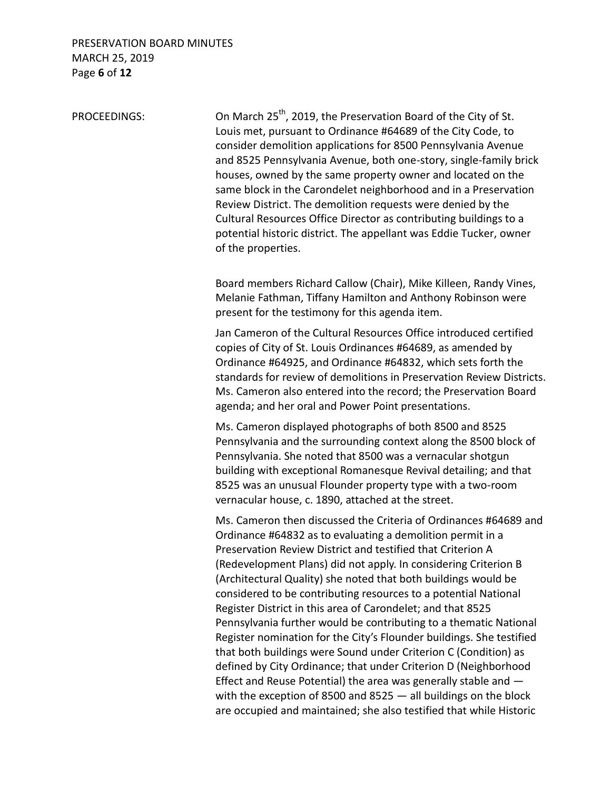### PRESERVATION BOARD MINUTES MARCH 25, 2019 Page **6** of **12**

PROCEEDINGS: On March 25<sup>th</sup>, 2019, the Preservation Board of the City of St. Louis met, pursuant to Ordinance #64689 of the City Code, to consider demolition applications for 8500 Pennsylvania Avenue and 8525 Pennsylvania Avenue, both one-story, single-family brick houses, owned by the same property owner and located on the same block in the Carondelet neighborhood and in a Preservation Review District. The demolition requests were denied by the Cultural Resources Office Director as contributing buildings to a potential historic district. The appellant was Eddie Tucker, owner of the properties.

> Board members Richard Callow (Chair), Mike Killeen, Randy Vines, Melanie Fathman, Tiffany Hamilton and Anthony Robinson were present for the testimony for this agenda item.

Jan Cameron of the Cultural Resources Office introduced certified copies of City of St. Louis Ordinances #64689, as amended by Ordinance #64925, and Ordinance #64832, which sets forth the standards for review of demolitions in Preservation Review Districts. Ms. Cameron also entered into the record; the Preservation Board agenda; and her oral and Power Point presentations.

Ms. Cameron displayed photographs of both 8500 and 8525 Pennsylvania and the surrounding context along the 8500 block of Pennsylvania. She noted that 8500 was a vernacular shotgun building with exceptional Romanesque Revival detailing; and that 8525 was an unusual Flounder property type with a two-room vernacular house, c. 1890, attached at the street.

Ms. Cameron then discussed the Criteria of Ordinances #64689 and Ordinance #64832 as to evaluating a demolition permit in a Preservation Review District and testified that Criterion A (Redevelopment Plans) did not apply. In considering Criterion B (Architectural Quality) she noted that both buildings would be considered to be contributing resources to a potential National Register District in this area of Carondelet; and that 8525 Pennsylvania further would be contributing to a thematic National Register nomination for the City's Flounder buildings. She testified that both buildings were Sound under Criterion C (Condition) as defined by City Ordinance; that under Criterion D (Neighborhood Effect and Reuse Potential) the area was generally stable and with the exception of 8500 and 8525 — all buildings on the block are occupied and maintained; she also testified that while Historic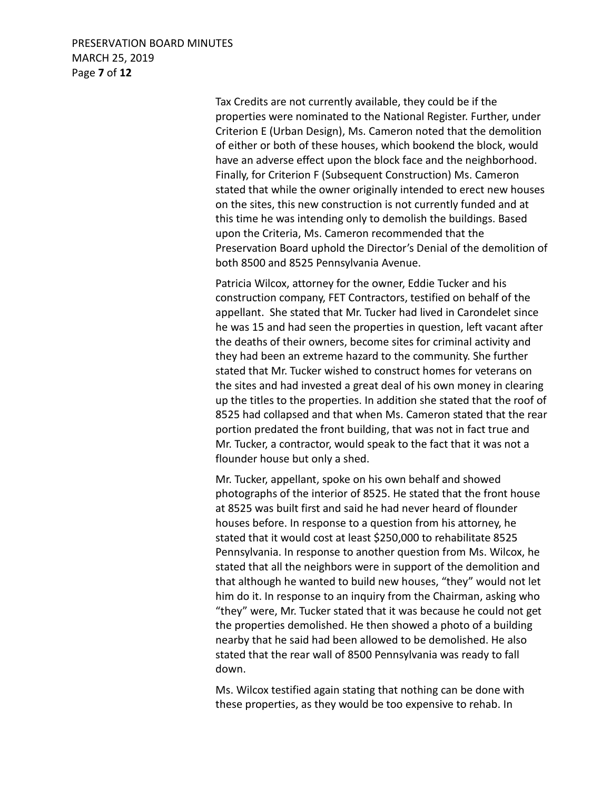## PRESERVATION BOARD MINUTES MARCH 25, 2019 Page **7** of **12**

Tax Credits are not currently available, they could be if the properties were nominated to the National Register. Further, under Criterion E (Urban Design), Ms. Cameron noted that the demolition of either or both of these houses, which bookend the block, would have an adverse effect upon the block face and the neighborhood. Finally, for Criterion F (Subsequent Construction) Ms. Cameron stated that while the owner originally intended to erect new houses on the sites, this new construction is not currently funded and at this time he was intending only to demolish the buildings. Based upon the Criteria, Ms. Cameron recommended that the Preservation Board uphold the Director's Denial of the demolition of both 8500 and 8525 Pennsylvania Avenue.

Patricia Wilcox, attorney for the owner, Eddie Tucker and his construction company, FET Contractors, testified on behalf of the appellant. She stated that Mr. Tucker had lived in Carondelet since he was 15 and had seen the properties in question, left vacant after the deaths of their owners, become sites for criminal activity and they had been an extreme hazard to the community. She further stated that Mr. Tucker wished to construct homes for veterans on the sites and had invested a great deal of his own money in clearing up the titles to the properties. In addition she stated that the roof of 8525 had collapsed and that when Ms. Cameron stated that the rear portion predated the front building, that was not in fact true and Mr. Tucker, a contractor, would speak to the fact that it was not a flounder house but only a shed.

Mr. Tucker, appellant, spoke on his own behalf and showed photographs of the interior of 8525. He stated that the front house at 8525 was built first and said he had never heard of flounder houses before. In response to a question from his attorney, he stated that it would cost at least \$250,000 to rehabilitate 8525 Pennsylvania. In response to another question from Ms. Wilcox, he stated that all the neighbors were in support of the demolition and that although he wanted to build new houses, "they" would not let him do it. In response to an inquiry from the Chairman, asking who "they" were, Mr. Tucker stated that it was because he could not get the properties demolished. He then showed a photo of a building nearby that he said had been allowed to be demolished. He also stated that the rear wall of 8500 Pennsylvania was ready to fall down.

Ms. Wilcox testified again stating that nothing can be done with these properties, as they would be too expensive to rehab. In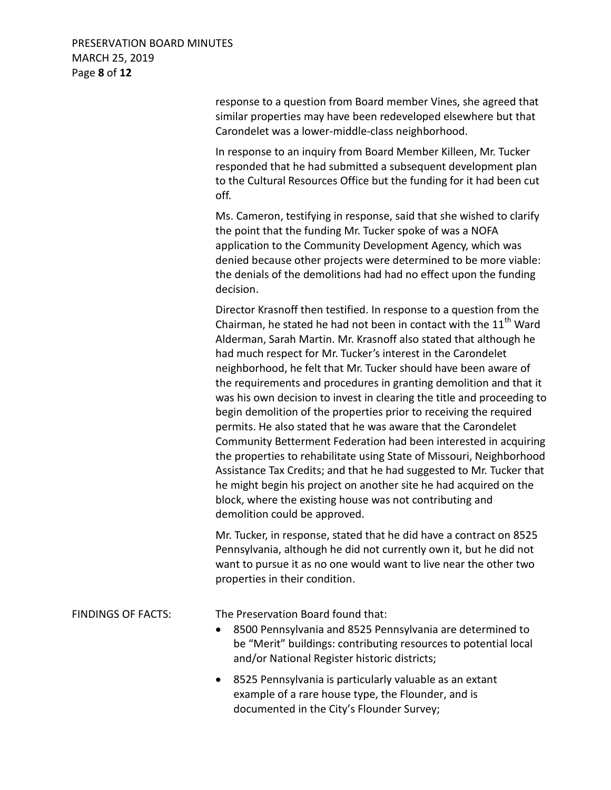## PRESERVATION BOARD MINUTES MARCH 25, 2019 Page **8** of **12**

response to a question from Board member Vines, she agreed that similar properties may have been redeveloped elsewhere but that Carondelet was a lower-middle-class neighborhood.

In response to an inquiry from Board Member Killeen, Mr. Tucker responded that he had submitted a subsequent development plan to the Cultural Resources Office but the funding for it had been cut off.

Ms. Cameron, testifying in response, said that she wished to clarify the point that the funding Mr. Tucker spoke of was a NOFA application to the Community Development Agency, which was denied because other projects were determined to be more viable: the denials of the demolitions had had no effect upon the funding decision.

Director Krasnoff then testified. In response to a question from the Chairman, he stated he had not been in contact with the  $11<sup>th</sup>$  Ward Alderman, Sarah Martin. Mr. Krasnoff also stated that although he had much respect for Mr. Tucker's interest in the Carondelet neighborhood, he felt that Mr. Tucker should have been aware of the requirements and procedures in granting demolition and that it was his own decision to invest in clearing the title and proceeding to begin demolition of the properties prior to receiving the required permits. He also stated that he was aware that the Carondelet Community Betterment Federation had been interested in acquiring the properties to rehabilitate using State of Missouri, Neighborhood Assistance Tax Credits; and that he had suggested to Mr. Tucker that he might begin his project on another site he had acquired on the block, where the existing house was not contributing and demolition could be approved.

Mr. Tucker, in response, stated that he did have a contract on 8525 Pennsylvania, although he did not currently own it, but he did not want to pursue it as no one would want to live near the other two properties in their condition.

FINDINGS OF FACTS: The Preservation Board found that:

- 8500 Pennsylvania and 8525 Pennsylvania are determined to be "Merit" buildings: contributing resources to potential local and/or National Register historic districts;
- 8525 Pennsylvania is particularly valuable as an extant example of a rare house type, the Flounder, and is documented in the City's Flounder Survey;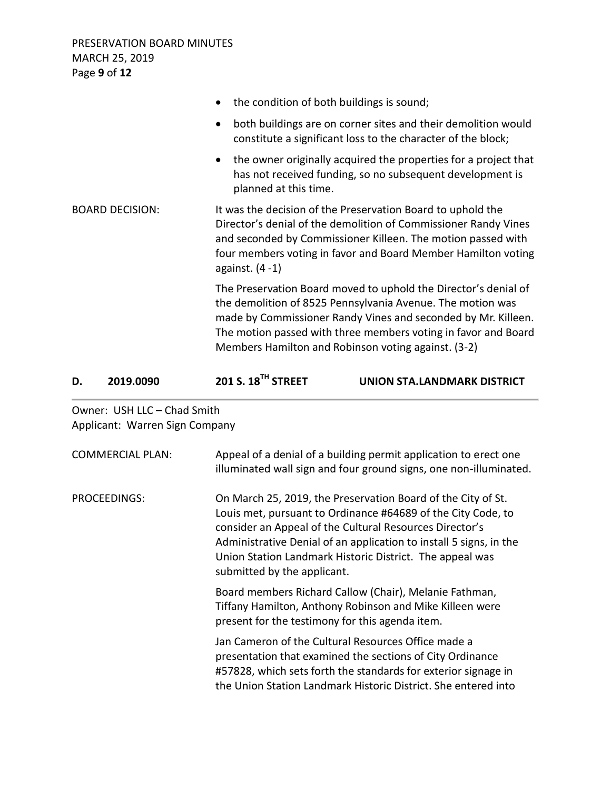PRESERVATION BOARD MINUTES MARCH 25, 2019 Page **9** of **12**

| • the condition of both buildings is sound;                                                                                                                                                                                                                                                                             |
|-------------------------------------------------------------------------------------------------------------------------------------------------------------------------------------------------------------------------------------------------------------------------------------------------------------------------|
| both buildings are on corner sites and their demolition would<br>$\bullet$<br>constitute a significant loss to the character of the block;                                                                                                                                                                              |
| the owner originally acquired the properties for a project that<br>$\bullet$<br>has not received funding, so no subsequent development is<br>planned at this time.                                                                                                                                                      |
| It was the decision of the Preservation Board to uphold the<br>Director's denial of the demolition of Commissioner Randy Vines<br>and seconded by Commissioner Killeen. The motion passed with<br>four members voting in favor and Board Member Hamilton voting<br>against. $(4-1)$                                     |
| The Preservation Board moved to uphold the Director's denial of<br>the demolition of 8525 Pennsylvania Avenue. The motion was<br>made by Commissioner Randy Vines and seconded by Mr. Killeen.<br>The motion passed with three members voting in favor and Board<br>Members Hamilton and Robinson voting against. (3-2) |
|                                                                                                                                                                                                                                                                                                                         |

| D. | 2019.0090 | 201 S. 18 <sup>TH</sup> STREET | UNION STA.LANDMARK DISTRICT |
|----|-----------|--------------------------------|-----------------------------|
|    |           |                                |                             |

Owner: USH LLC – Chad Smith Applicant: Warren Sign Company

| <b>COMMERCIAL PLAN:</b> | Appeal of a denial of a building permit application to erect one<br>illuminated wall sign and four ground signs, one non-illuminated.                                                                                                                                                                                                                    |
|-------------------------|----------------------------------------------------------------------------------------------------------------------------------------------------------------------------------------------------------------------------------------------------------------------------------------------------------------------------------------------------------|
| PROCEEDINGS:            | On March 25, 2019, the Preservation Board of the City of St.<br>Louis met, pursuant to Ordinance #64689 of the City Code, to<br>consider an Appeal of the Cultural Resources Director's<br>Administrative Denial of an application to install 5 signs, in the<br>Union Station Landmark Historic District. The appeal was<br>submitted by the applicant. |
|                         | Board members Richard Callow (Chair), Melanie Fathman,<br>Tiffany Hamilton, Anthony Robinson and Mike Killeen were<br>present for the testimony for this agenda item.                                                                                                                                                                                    |
|                         | Jan Cameron of the Cultural Resources Office made a<br>presentation that examined the sections of City Ordinance<br>#57828, which sets forth the standards for exterior signage in<br>the Union Station Landmark Historic District. She entered into                                                                                                     |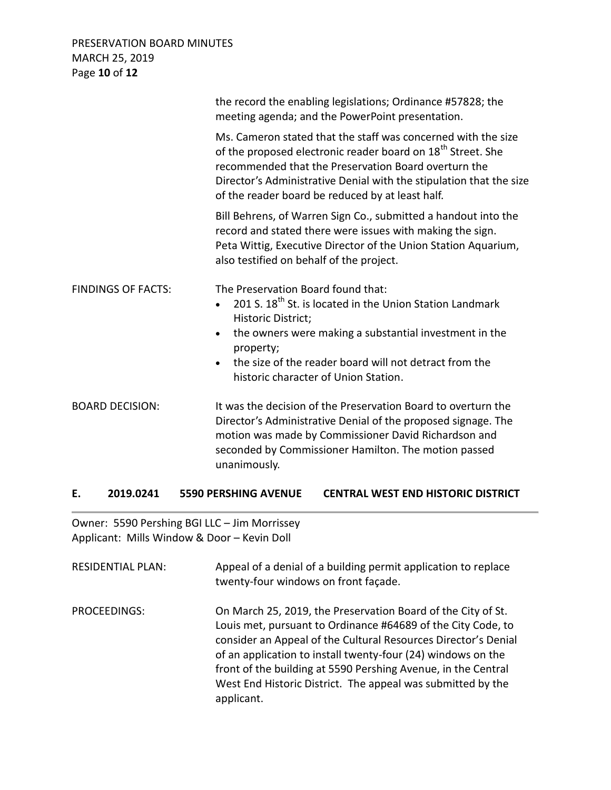## PRESERVATION BOARD MINUTES MARCH 25, 2019 Page **10** of **12**

|                           | the record the enabling legislations; Ordinance #57828; the<br>meeting agenda; and the PowerPoint presentation.                                                                                                                                                                                                             |
|---------------------------|-----------------------------------------------------------------------------------------------------------------------------------------------------------------------------------------------------------------------------------------------------------------------------------------------------------------------------|
|                           | Ms. Cameron stated that the staff was concerned with the size<br>of the proposed electronic reader board on 18 <sup>th</sup> Street. She<br>recommended that the Preservation Board overturn the<br>Director's Administrative Denial with the stipulation that the size<br>of the reader board be reduced by at least half. |
|                           | Bill Behrens, of Warren Sign Co., submitted a handout into the<br>record and stated there were issues with making the sign.<br>Peta Wittig, Executive Director of the Union Station Aquarium,<br>also testified on behalf of the project.                                                                                   |
| <b>FINDINGS OF FACTS:</b> | The Preservation Board found that:<br>201 S. 18 <sup>th</sup> St. is located in the Union Station Landmark<br>$\bullet$<br>Historic District;<br>the owners were making a substantial investment in the<br>property;<br>the size of the reader board will not detract from the<br>historic character of Union Station.      |
| <b>BOARD DECISION:</b>    | It was the decision of the Preservation Board to overturn the<br>Director's Administrative Denial of the proposed signage. The<br>motion was made by Commissioner David Richardson and<br>seconded by Commissioner Hamilton. The motion passed<br>unanimously.                                                              |

# **E. 2019.0241 5590 PERSHING AVENUE CENTRAL WEST END HISTORIC DISTRICT**

Owner: 5590 Pershing BGI LLC – Jim Morrissey Applicant: Mills Window & Door – Kevin Doll

| <b>RESIDENTIAL PLAN:</b> | Appeal of a denial of a building permit application to replace<br>twenty-four windows on front façade.                                                                                                                                                                                                                                                                                                       |
|--------------------------|--------------------------------------------------------------------------------------------------------------------------------------------------------------------------------------------------------------------------------------------------------------------------------------------------------------------------------------------------------------------------------------------------------------|
| PROCEEDINGS:             | On March 25, 2019, the Preservation Board of the City of St.<br>Louis met, pursuant to Ordinance #64689 of the City Code, to<br>consider an Appeal of the Cultural Resources Director's Denial<br>of an application to install twenty-four (24) windows on the<br>front of the building at 5590 Pershing Avenue, in the Central<br>West End Historic District. The appeal was submitted by the<br>applicant. |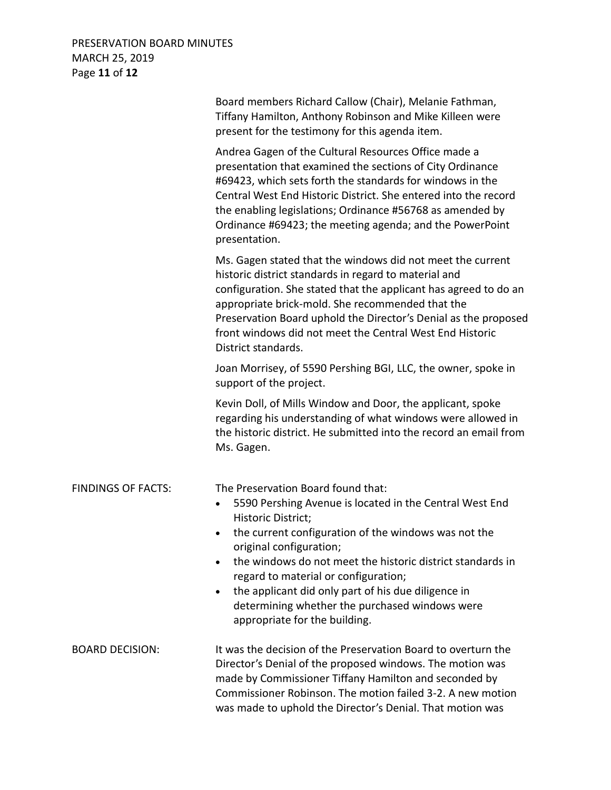# PRESERVATION BOARD MINUTES MARCH 25, 2019 Page **11** of **12**

|                           | Board members Richard Callow (Chair), Melanie Fathman,<br>Tiffany Hamilton, Anthony Robinson and Mike Killeen were<br>present for the testimony for this agenda item.                                                                                                                                                                                                                                                                                               |
|---------------------------|---------------------------------------------------------------------------------------------------------------------------------------------------------------------------------------------------------------------------------------------------------------------------------------------------------------------------------------------------------------------------------------------------------------------------------------------------------------------|
|                           | Andrea Gagen of the Cultural Resources Office made a<br>presentation that examined the sections of City Ordinance<br>#69423, which sets forth the standards for windows in the<br>Central West End Historic District. She entered into the record<br>the enabling legislations; Ordinance #56768 as amended by<br>Ordinance #69423; the meeting agenda; and the PowerPoint<br>presentation.                                                                         |
|                           | Ms. Gagen stated that the windows did not meet the current<br>historic district standards in regard to material and<br>configuration. She stated that the applicant has agreed to do an<br>appropriate brick-mold. She recommended that the<br>Preservation Board uphold the Director's Denial as the proposed<br>front windows did not meet the Central West End Historic<br>District standards.                                                                   |
|                           | Joan Morrisey, of 5590 Pershing BGI, LLC, the owner, spoke in<br>support of the project.                                                                                                                                                                                                                                                                                                                                                                            |
|                           | Kevin Doll, of Mills Window and Door, the applicant, spoke<br>regarding his understanding of what windows were allowed in<br>the historic district. He submitted into the record an email from<br>Ms. Gagen.                                                                                                                                                                                                                                                        |
| <b>FINDINGS OF FACTS:</b> | The Preservation Board found that:<br>5590 Pershing Avenue is located in the Central West End<br>$\bullet$<br>Historic District;<br>the current configuration of the windows was not the<br>original configuration;<br>the windows do not meet the historic district standards in<br>regard to material or configuration;<br>the applicant did only part of his due diligence in<br>determining whether the purchased windows were<br>appropriate for the building. |
| <b>BOARD DECISION:</b>    | It was the decision of the Preservation Board to overturn the<br>Director's Denial of the proposed windows. The motion was<br>made by Commissioner Tiffany Hamilton and seconded by<br>Commissioner Robinson. The motion failed 3-2. A new motion<br>was made to uphold the Director's Denial. That motion was                                                                                                                                                      |